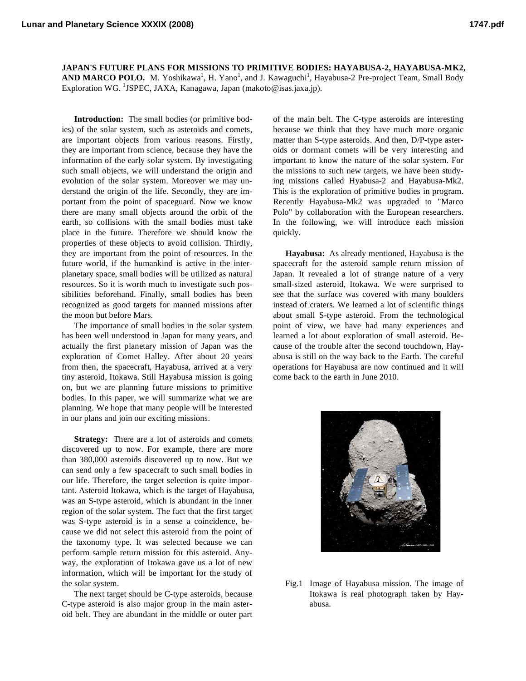**JAPAN'S FUTURE PLANS FOR MISSIONS TO PRIMITIVE BODIES: HAYABUSA-2, HAYABUSA-MK2,**  AND MARCO POLO. M. Yoshikawa<sup>1</sup>, H. Yano<sup>1</sup>, and J. Kawaguchi<sup>1</sup>, Hayabusa-2 Pre-project Team, Small Body Exploration WG. <sup>1</sup>JSPEC, JAXA, Kanagawa, Japan (makoto@isas.jaxa.jp).

**Introduction:** The small bodies (or primitive bodies) of the solar system, such as asteroids and comets, are important objects from various reasons. Firstly, they are important from science, because they have the information of the early solar system. By investigating such small objects, we will understand the origin and evolution of the solar system. Moreover we may understand the origin of the life. Secondly, they are important from the point of spaceguard. Now we know there are many small objects around the orbit of the earth, so collisions with the small bodies must take place in the future. Therefore we should know the properties of these objects to avoid collision. Thirdly, they are important from the point of resources. In the future world, if the humankind is active in the interplanetary space, small bodies will be utilized as natural resources. So it is worth much to investigate such possibilities beforehand. Finally, small bodies has been recognized as good targets for manned missions after the moon but before Mars.

The importance of small bodies in the solar system has been well understood in Japan for many years, and actually the first planetary mission of Japan was the exploration of Comet Halley. After about 20 years from then, the spacecraft, Hayabusa, arrived at a very tiny asteroid, Itokawa. Still Hayabusa mission is going on, but we are planning future missions to primitive bodies. In this paper, we will summarize what we are planning. We hope that many people will be interested in our plans and join our exciting missions.

**Strategy:** There are a lot of asteroids and comets discovered up to now. For example, there are more than 380,000 asteroids discovered up to now. But we can send only a few spacecraft to such small bodies in our life. Therefore, the target selection is quite important. Asteroid Itokawa, which is the target of Hayabusa, was an S-type asteroid, which is abundant in the inner region of the solar system. The fact that the first target was S-type asteroid is in a sense a coincidence, because we did not select this asteroid from the point of the taxonomy type. It was selected because we can perform sample return mission for this asteroid. Anyway, the exploration of Itokawa gave us a lot of new information, which will be important for the study of the solar system.

The next target should be C-type asteroids, because C-type asteroid is also major group in the main asteroid belt. They are abundant in the middle or outer part

of the main belt. The C-type asteroids are interesting because we think that they have much more organic matter than S-type asteroids. And then, D/P-type asteroids or dormant comets will be very interesting and important to know the nature of the solar system. For the missions to such new targets, we have been studying missions called Hyabusa-2 and Hayabusa-Mk2. This is the exploration of primitive bodies in program. Recently Hayabusa-Mk2 was upgraded to "Marco Polo" by collaboration with the European researchers. In the following, we will introduce each mission quickly.

**Hayabusa:** As already mentioned, Hayabusa is the spacecraft for the asteroid sample return mission of Japan. It revealed a lot of strange nature of a very small-sized asteroid, Itokawa. We were surprised to see that the surface was covered with many boulders instead of craters. We learned a lot of scientific things about small S-type asteroid. From the technological point of view, we have had many experiences and learned a lot about exploration of small asteroid. Because of the trouble after the second touchdown, Hayabusa is still on the way back to the Earth. The careful operations for Hayabusa are now continued and it will come back to the earth in June 2010.



Fig.1 Image of Hayabusa mission. The image of Itokawa is real photograph taken by Hayabusa.